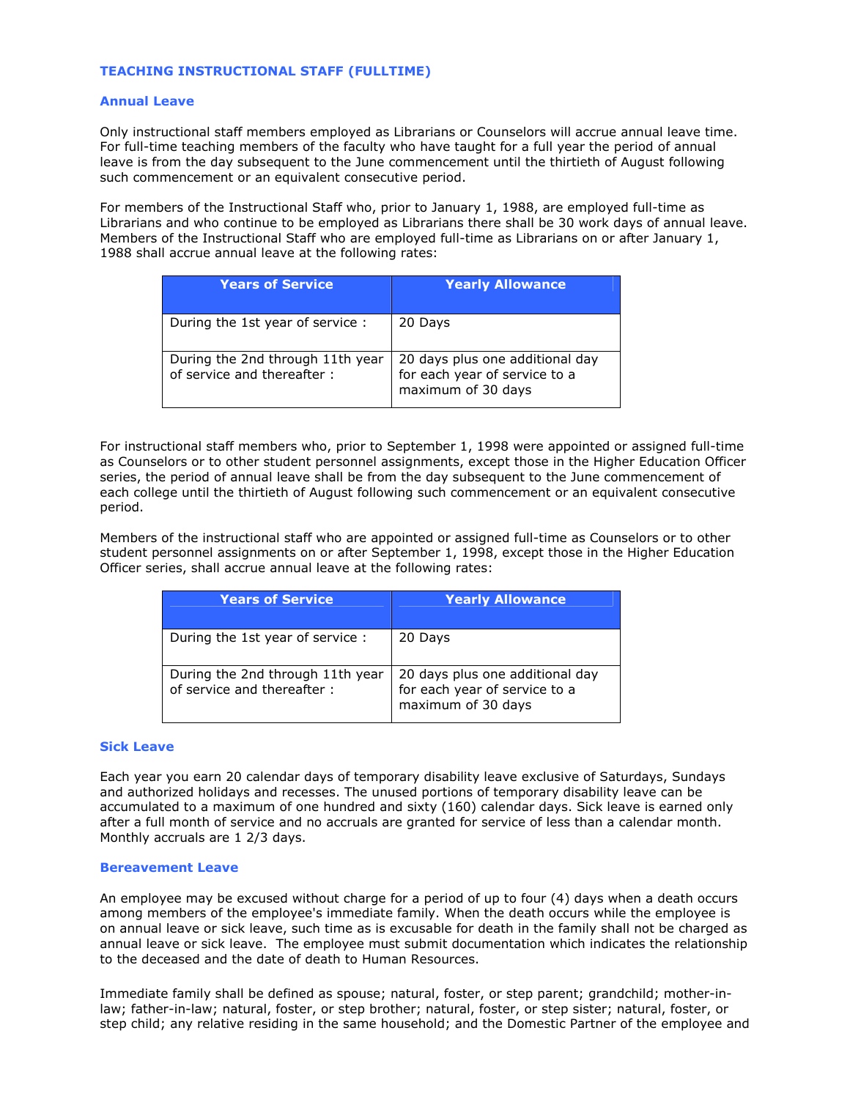# TEACHING INSTRUCTIONAL STAFF (FULLTIME)

### Annual Leave

Only instructional staff members employed as Librarians or Counselors will accrue annual leave time. For full-time teaching members of the faculty who have taught for a full year the period of annual leave is from the day subsequent to the June commencement until the thirtieth of August following such commencement or an equivalent consecutive period.

For members of the Instructional Staff who, prior to January 1, 1988, are employed full-time as Librarians and who continue to be employed as Librarians there shall be 30 work days of annual leave. Members of the Instructional Staff who are employed full-time as Librarians on or after January 1, 1988 shall accrue annual leave at the following rates:

| <b>Years of Service</b>                                        | <b>Yearly Allowance</b>                                                                |
|----------------------------------------------------------------|----------------------------------------------------------------------------------------|
| During the 1st year of service:                                | 20 Days                                                                                |
| During the 2nd through 11th year<br>of service and thereafter: | 20 days plus one additional day<br>for each year of service to a<br>maximum of 30 days |

For instructional staff members who, prior to September 1, 1998 were appointed or assigned full-time as Counselors or to other student personnel assignments, except those in the Higher Education Officer series, the period of annual leave shall be from the day subsequent to the June commencement of each college until the thirtieth of August following such commencement or an equivalent consecutive period.

Members of the instructional staff who are appointed or assigned full-time as Counselors or to other student personnel assignments on or after September 1, 1998, except those in the Higher Education Officer series, shall accrue annual leave at the following rates:

| <b>Years of Service</b>                                         | <b>Yearly Allowance</b>                                                                |
|-----------------------------------------------------------------|----------------------------------------------------------------------------------------|
| During the 1st year of service :                                | 20 Days                                                                                |
| During the 2nd through 11th year<br>of service and thereafter : | 20 days plus one additional day<br>for each year of service to a<br>maximum of 30 days |

#### Sick Leave

Each year you earn 20 calendar days of temporary disability leave exclusive of Saturdays, Sundays and authorized holidays and recesses. The unused portions of temporary disability leave can be accumulated to a maximum of one hundred and sixty (160) calendar days. Sick leave is earned only after a full month of service and no accruals are granted for service of less than a calendar month. Monthly accruals are 1 2/3 days.

#### Bereavement Leave

An employee may be excused without charge for a period of up to four (4) days when a death occurs among members of the employee's immediate family. When the death occurs while the employee is on annual leave or sick leave, such time as is excusable for death in the family shall not be charged as annual leave or sick leave. The employee must submit documentation which indicates the relationship to the deceased and the date of death to Human Resources.

Immediate family shall be defined as spouse; natural, foster, or step parent; grandchild; mother-inlaw; father-in-law; natural, foster, or step brother; natural, foster, or step sister; natural, foster, or step child; any relative residing in the same household; and the Domestic Partner of the employee and